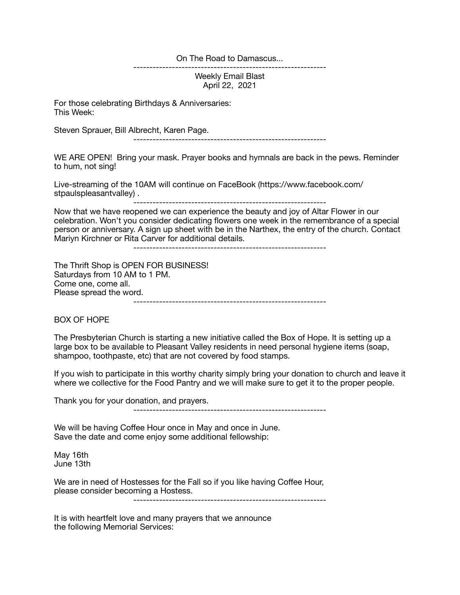On The Road to Damascus...

Weekly Email Blast April 22, 2021

------------------------------------------------------------

For those celebrating Birthdays & Anniversaries: This Week:

Steven Sprauer, Bill Albrecht, Karen Page.

------------------------------------------------------------

WE ARE OPEN! Bring your mask. Prayer books and hymnals are back in the pews. Reminder to hum, not sing!

Live-streaming of the 10AM will continue on FaceBook (https://www.facebook.com/ stpaulspleasantvalley) .

Now that we have reopened we can experience the beauty and joy of Altar Flower in our celebration. Won't you consider dedicating flowers one week in the remembrance of a special person or anniversary. A sign up sheet with be in the Narthex, the entry of the church. Contact Mariyn Kirchner or Rita Carver for additional details.

------------------------------------------------------------

The Thrift Shop is OPEN FOR BUSINESS! Saturdays from 10 AM to 1 PM. Come one, come all. Please spread the word. ------------------------------------------------------------

BOX OF HOPE

The Presbyterian Church is starting a new initiative called the Box of Hope. It is setting up a large box to be available to Pleasant Valley residents in need personal hygiene items (soap, shampoo, toothpaste, etc) that are not covered by food stamps.

If you wish to participate in this worthy charity simply bring your donation to church and leave it where we collective for the Food Pantry and we will make sure to get it to the proper people.

Thank you for your donation, and prayers.

------------------------------------------------------------

We will be having Coffee Hour once in May and once in June. Save the date and come enjoy some additional fellowship:

May 16th June 13th

We are in need of Hostesses for the Fall so if you like having Coffee Hour, please consider becoming a Hostess.

------------------------------------------------------------

It is with heartfelt love and many prayers that we announce the following Memorial Services: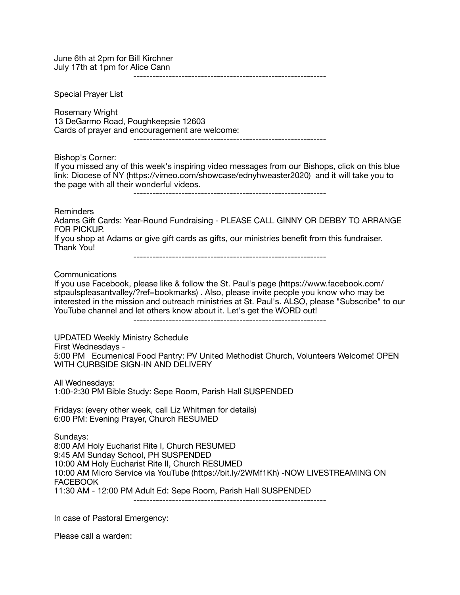June 6th at 2pm for Bill Kirchner July 17th at 1pm for Alice Cann ------------------------------------------------------------ Special Prayer List Rosemary Wright 13 DeGarmo Road, Poughkeepsie 12603 Cards of prayer and encouragement are welcome: ------------------------------------------------------------ Bishop's Corner: If you missed any of this week's inspiring video messages from our Bishops, click on this blue link: Diocese of NY (https://vimeo.com/showcase/ednyhweaster2020) and it will take you to the page with all their wonderful videos. ------------------------------------------------------------ **Reminders** Adams Gift Cards: Year-Round Fundraising - PLEASE CALL GINNY OR DEBBY TO ARRANGE FOR PICKUP. If you shop at Adams or give gift cards as gifts, our ministries benefit from this fundraiser. Thank You! ------------------------------------------------------------ Communications If you use Facebook, please like & follow the St. Paul's page (https://www.facebook.com/ stpaulspleasantvalley/?ref=bookmarks) . Also, please invite people you know who may be interested in the mission and outreach ministries at St. Paul's. ALSO, please "Subscribe" to our YouTube channel and let others know about it. Let's get the WORD out! ------------------------------------------------------------ UPDATED Weekly Ministry Schedule First Wednesdays - 5:00 PM Ecumenical Food Pantry: PV United Methodist Church, Volunteers Welcome! OPEN WITH CURBSIDE SIGN-IN AND DELIVERY All Wednesdays: 1:00-2:30 PM Bible Study: Sepe Room, Parish Hall SUSPENDED Fridays: (every other week, call Liz Whitman for details) 6:00 PM: Evening Prayer, Church RESUMED Sundays: 8:00 AM Holy Eucharist Rite I, Church RESUMED 9:45 AM Sunday School, PH SUSPENDED 10:00 AM Holy Eucharist Rite II, Church RESUMED 10:00 AM Micro Service via YouTube (https://bit.ly/2WMf1Kh) -NOW LIVESTREAMING ON FACEBOOK 11:30 AM - 12:00 PM Adult Ed: Sepe Room, Parish Hall SUSPENDED ------------------------------------------------------------

In case of Pastoral Emergency:

Please call a warden: